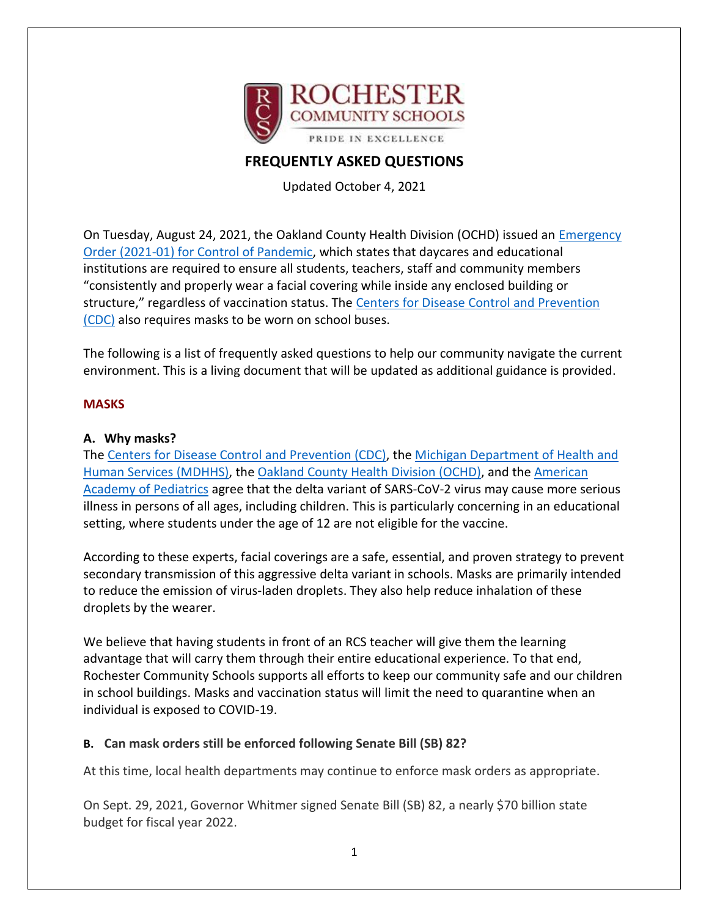

# **FREQUENTLY ASKED QUESTIONS**

Updated October 4, 2021

On Tuesday, August 24, 2021, the Oakland County Health Division (OCHD) issued an [Emergency](http://track.spe.schoolmessenger.com/f/a/shiIDUw7iUrv7CANk_jHfw~~/AAAAAQA~/RgRjB94yP0RiaHR0cHM6Ly93d3cub2FrZ292LmNvbS9jb3ZpZC9oZWFsdGhvcmRlcnMvSGVhbHRoJTIwT3JkZXIlMjA4LjI0LjIxJTIwZmFjZSUyMGNvdmVyaW5nJTIwMjAyMS0wMS5wZGZXB3NjaG9vbG1CCmEmsqomYWdaVFhSGmxncmVpbkByb2NoZXN0ZXIuazEyLm1pLnVzWAQAAAAB)  [Order \(2021-01\) for Control of Pandemic,](http://track.spe.schoolmessenger.com/f/a/shiIDUw7iUrv7CANk_jHfw~~/AAAAAQA~/RgRjB94yP0RiaHR0cHM6Ly93d3cub2FrZ292LmNvbS9jb3ZpZC9oZWFsdGhvcmRlcnMvSGVhbHRoJTIwT3JkZXIlMjA4LjI0LjIxJTIwZmFjZSUyMGNvdmVyaW5nJTIwMjAyMS0wMS5wZGZXB3NjaG9vbG1CCmEmsqomYWdaVFhSGmxncmVpbkByb2NoZXN0ZXIuazEyLm1pLnVzWAQAAAAB) which states that daycares and educational institutions are required to ensure all students, teachers, staff and community members "consistently and properly wear a facial covering while inside any enclosed building or structure," regardless of vaccination status. The [Centers for Disease Control and Prevention](https://www.cdc.gov/coronavirus/2019-ncov/travelers/face-masks-public-transportation.html)  [\(CDC\)](https://www.cdc.gov/coronavirus/2019-ncov/travelers/face-masks-public-transportation.html) also requires masks to be worn on school buses.

The following is a list of frequently asked questions to help our community navigate the current environment. This is a living document that will be updated as additional guidance is provided.

### **MASKS**

### **A. Why masks?**

The [Centers for Disease Control and Prevention \(CDC\),](https://www.cdc.gov/coronavirus/2019-ncov/community/schools-childcare/k-12-guidance.html#:~:text=Indoors%3A%20CDC%20recommends%20indoor%20masking,to%20wear%20masks%20when%20outdoors.) the [Michigan Department of Health and](https://www.michigan.gov/documents/coronavirus/COVID-19_Guidance_for_Operating_Schools_Safely_728838_7.pdf)  [Human Services \(MDHHS\),](https://www.michigan.gov/documents/coronavirus/COVID-19_Guidance_for_Operating_Schools_Safely_728838_7.pdf) the [Oakland County Health Division \(OCHD\),](https://www.oakgov.com/covid/resources/education/PublishingImages/Pages/k-12/Back%20to%20School%20Guidance.pdf) and the [American](https://www.aap.org/en/pages/2019-novel-coronavirus-covid-19-infections/clinical-guidance/covid-19-planning-considerations-return-to-in-person-education-in-schools/)  [Academy of Pediatrics](https://www.aap.org/en/pages/2019-novel-coronavirus-covid-19-infections/clinical-guidance/covid-19-planning-considerations-return-to-in-person-education-in-schools/) agree that the delta variant of SARS-CoV-2 virus may cause more serious illness in persons of all ages, including children. This is particularly concerning in an educational setting, where students under the age of 12 are not eligible for the vaccine.

According to these experts, facial coverings are a safe, essential, and proven strategy to prevent secondary transmission of this aggressive delta variant in schools. Masks are primarily intended to reduce the emission of virus-laden droplets. They also help reduce inhalation of these droplets by the wearer.

We believe that having students in front of an RCS teacher will give them the learning advantage that will carry them through their entire educational experience. To that end, Rochester Community Schools supports all efforts to keep our community safe and our children in school buildings. Masks and vaccination status will limit the need to quarantine when an individual is exposed to COVID-19.

## **B. Can mask orders still be enforced following Senate Bill (SB) 82?**

At this time, local health departments may continue to enforce mask orders as appropriate.

On Sept. 29, 2021, Governor Whitmer signed Senate Bill (SB) 82, a nearly \$70 billion state budget for fiscal year 2022.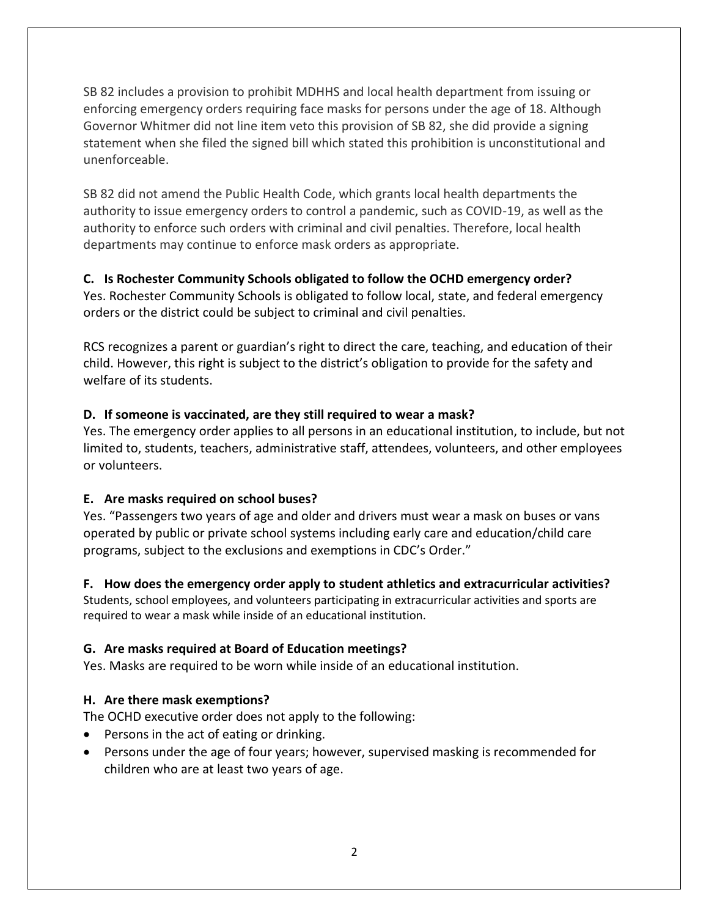SB 82 includes a provision to prohibit MDHHS and local health department from issuing or enforcing emergency orders requiring face masks for persons under the age of 18. Although Governor Whitmer did not line item veto this provision of SB 82, she did provide a signing statement when she filed the signed bill which stated this prohibition is unconstitutional and unenforceable.

SB 82 did not amend the Public Health Code, which grants local health departments the authority to issue emergency orders to control a pandemic, such as COVID-19, as well as the authority to enforce such orders with criminal and civil penalties. Therefore, local health departments may continue to enforce mask orders as appropriate.

## **C. Is Rochester Community Schools obligated to follow the OCHD emergency order?**

Yes. Rochester Community Schools is obligated to follow local, state, and federal emergency orders or the district could be subject to criminal and civil penalties.

RCS recognizes a parent or guardian's right to direct the care, teaching, and education of their child. However, this right is subject to the district's obligation to provide for the safety and welfare of its students.

### **D. If someone is vaccinated, are they still required to wear a mask?**

Yes. The emergency order applies to all persons in an educational institution, to include, but not limited to, students, teachers, administrative staff, attendees, volunteers, and other employees or volunteers.

## **E. Are masks required on school buses?**

Yes. "Passengers two years of age and older and drivers must wear a mask on buses or vans operated by public or private school systems including early care and education/child care programs, subject to the exclusions and exemptions in CDC's Order."

#### **F. How does the emergency order apply to student athletics and extracurricular activities?**

Students, school employees, and volunteers participating in extracurricular activities and sports are required to wear a mask while inside of an educational institution.

## **G. Are masks required at Board of Education meetings?**

Yes. Masks are required to be worn while inside of an educational institution.

## **H. Are there mask exemptions?**

The OCHD executive order does not apply to the following:

- Persons in the act of eating or drinking.
- Persons under the age of four years; however, supervised masking is recommended for children who are at least two years of age.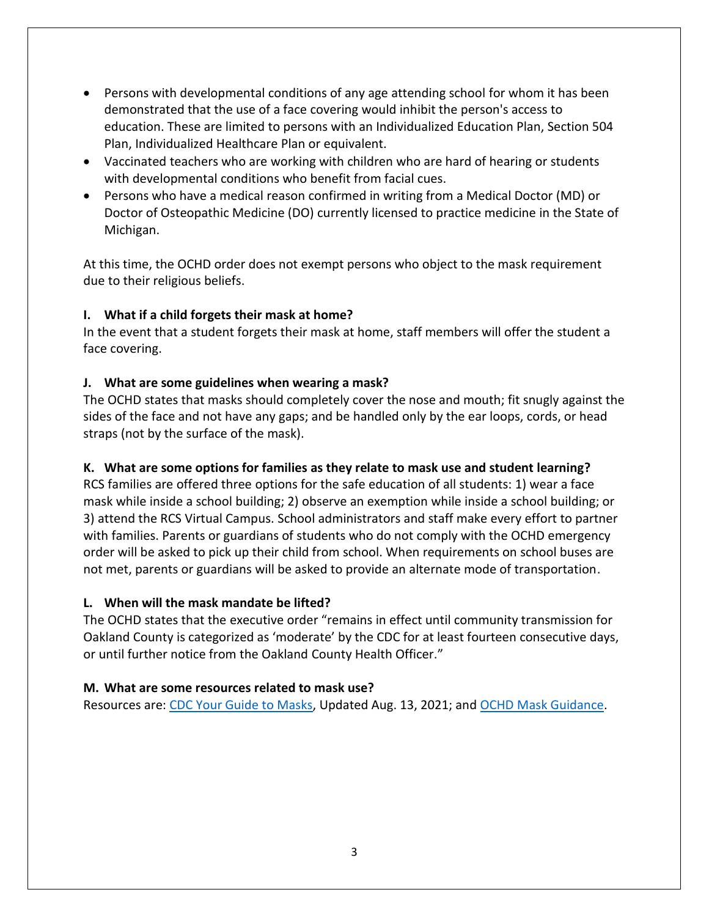- Persons with developmental conditions of any age attending school for whom it has been demonstrated that the use of a face covering would inhibit the person's access to education. These are limited to persons with an Individualized Education Plan, Section 504 Plan, Individualized Healthcare Plan or equivalent.
- Vaccinated teachers who are working with children who are hard of hearing or students with developmental conditions who benefit from facial cues.
- Persons who have a medical reason confirmed in writing from a Medical Doctor (MD) or Doctor of Osteopathic Medicine (DO) currently licensed to practice medicine in the State of Michigan.

At this time, the OCHD order does not exempt persons who object to the mask requirement due to their religious beliefs.

## **I. What if a child forgets their mask at home?**

In the event that a student forgets their mask at home, staff members will offer the student a face covering.

## **J. What are some guidelines when wearing a mask?**

The OCHD states that masks should completely cover the nose and mouth; fit snugly against the sides of the face and not have any gaps; and be handled only by the ear loops, cords, or head straps (not by the surface of the mask).

## **K. What are some options for families as they relate to mask use and student learning?**

RCS families are offered three options for the safe education of all students: 1) wear a face mask while inside a school building; 2) observe an exemption while inside a school building; or 3) attend the RCS Virtual Campus. School administrators and staff make every effort to partner with families. Parents or guardians of students who do not comply with the OCHD emergency order will be asked to pick up their child from school. When requirements on school buses are not met, parents or guardians will be asked to provide an alternate mode of transportation.

## **L. When will the mask mandate be lifted?**

The OCHD states that the executive order "remains in effect until community transmission for Oakland County is categorized as 'moderate' by the CDC for at least fourteen consecutive days, or until further notice from the Oakland County Health Officer."

## **M. What are some resources related to mask use?**

Resources are: [CDC Your Guide to Masks,](https://www.cdc.gov/coronavirus/2019-ncov/prevent-getting-sick/about-face-coverings.html) Updated Aug. 13, 2021; and [OCHD Mask Guidance.](https://www.oakgov.com/covid/best-practices/prepare/Pages/face-covering.aspx)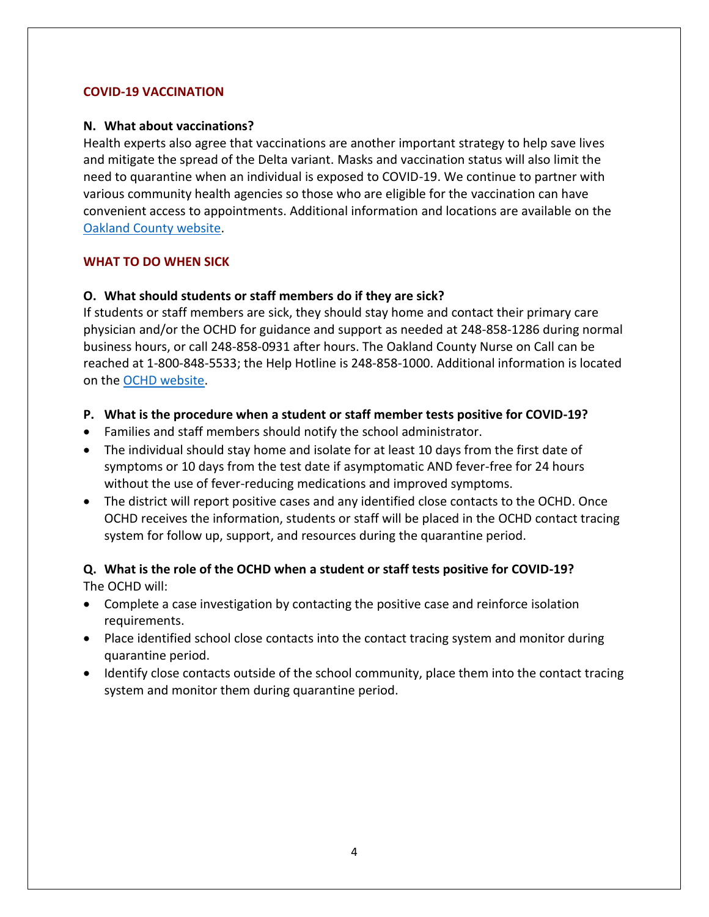#### **COVID-19 VACCINATION**

#### **N. What about vaccinations?**

Health experts also agree that vaccinations are another important strategy to help save lives and mitigate the spread of the Delta variant. Masks and vaccination status will also limit the need to quarantine when an individual is exposed to COVID-19. We continue to partner with various community health agencies so those who are eligible for the vaccination can have convenient access to appointments. Additional information and locations are available on the [Oakland County website.](https://oaklandcountyvaccine.com/)

#### **WHAT TO DO WHEN SICK**

#### **O. What should students or staff members do if they are sick?**

If students or staff members are sick, they should stay home and contact their primary care physician and/or the OCHD for guidance and support as needed at 248-858-1286 during normal business hours, or call 248-858-0931 after hours. The Oakland County Nurse on Call can be reached at 1-800-848-5533; the Help Hotline is 248-858-1000. Additional information is located on the [OCHD website.](http://www.oakgov.com/Health)

- **P. What is the procedure when a student or staff member tests positive for COVID-19?**
- Families and staff members should notify the school administrator.
- The individual should stay home and isolate for at least 10 days from the first date of symptoms or 10 days from the test date if asymptomatic AND fever-free for 24 hours without the use of fever-reducing medications and improved symptoms.
- The district will report positive cases and any identified close contacts to the OCHD. Once OCHD receives the information, students or staff will be placed in the OCHD contact tracing system for follow up, support, and resources during the quarantine period.

### **Q. What is the role of the OCHD when a student or staff tests positive for COVID-19?** The OCHD will:

- Complete a case investigation by contacting the positive case and reinforce isolation requirements.
- Place identified school close contacts into the contact tracing system and monitor during quarantine period.
- Identify close contacts outside of the school community, place them into the contact tracing system and monitor them during quarantine period.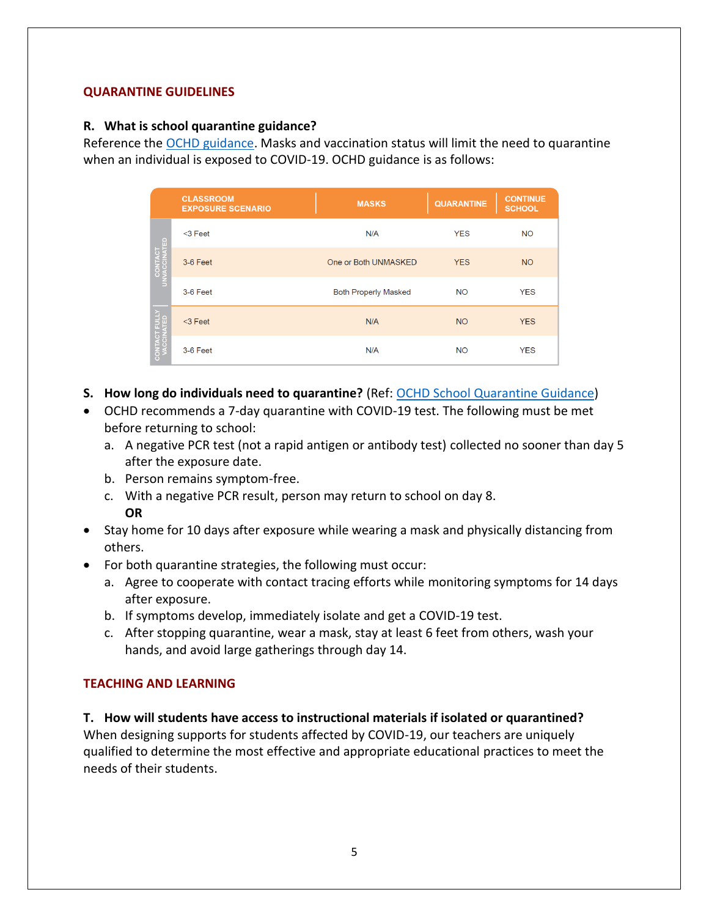### **QUARANTINE GUIDELINES**

### **R. What is school quarantine guidance?**

Reference the [OCHD guidance.](https://www.oakgov.com/covid/resources/education/Documents/CV19%20Quarantine%20Recommendation%20Handout.pdf) Masks and vaccination status will limit the need to quarantine when an individual is exposed to COVID-19. OCHD guidance is as follows:

|             | <b>CLASSROOM</b><br><b>EXPOSURE SCENARIO</b> | <b>MASKS</b>                | <b>QUARANTINE</b> | <b>CONTINUE</b><br><b>SCHOOL</b> |
|-------------|----------------------------------------------|-----------------------------|-------------------|----------------------------------|
| <b>ATED</b> | $<$ 3 Feet                                   | N/A                         | <b>YES</b>        | <b>NO</b>                        |
|             | 3-6 Feet                                     | One or Both UNMASKED        | <b>YES</b>        | <b>NO</b>                        |
|             | 3-6 Feet                                     | <b>Both Properly Masked</b> | <b>NO</b>         | <b>YES</b>                       |
|             | $<$ 3 Feet                                   | N/A                         | <b>NO</b>         | <b>YES</b>                       |
|             | 3-6 Feet                                     | N/A                         | <b>NO</b>         | <b>YES</b>                       |

- **S. How long do individuals need to quarantine?** (Ref: [OCHD School Quarantine Guidance\)](https://www.oakgov.com/covid/resources/education/Documents/CV19%20Quarantine%20Recommendation%20Handout.pdf)
- OCHD recommends a 7-day quarantine with COVID-19 test. The following must be met before returning to school:
	- a. A negative PCR test (not a rapid antigen or antibody test) collected no sooner than day 5 after the exposure date.
	- b. Person remains symptom-free.
	- c. With a negative PCR result, person may return to school on day 8. **OR**
- Stay home for 10 days after exposure while wearing a mask and physically distancing from others.
- For both quarantine strategies, the following must occur:
	- a. Agree to cooperate with contact tracing efforts while monitoring symptoms for 14 days after exposure.
	- b. If symptoms develop, immediately isolate and get a COVID-19 test.
	- c. After stopping quarantine, wear a mask, stay at least 6 feet from others, wash your hands, and avoid large gatherings through day 14.

#### **TEACHING AND LEARNING**

**T. How will students have access to instructional materials if isolated or quarantined?** When designing supports for students affected by COVID-19, our teachers are uniquely qualified to determine the most effective and appropriate educational practices to meet the needs of their students.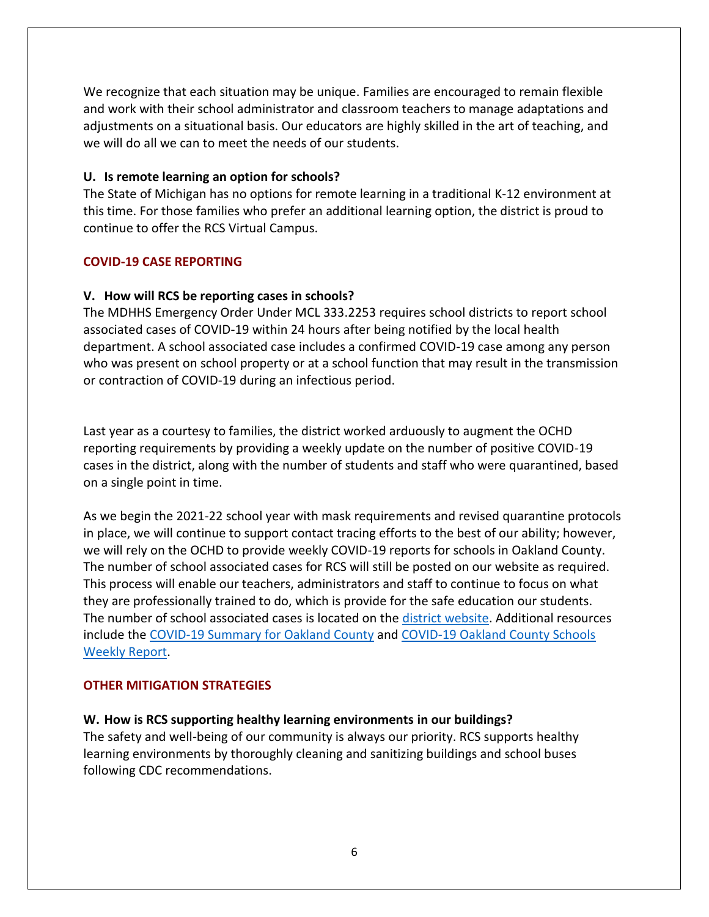We recognize that each situation may be unique. Families are encouraged to remain flexible and work with their school administrator and classroom teachers to manage adaptations and adjustments on a situational basis. Our educators are highly skilled in the art of teaching, and we will do all we can to meet the needs of our students.

#### **U. Is remote learning an option for schools?**

The State of Michigan has no options for remote learning in a traditional K-12 environment at this time. For those families who prefer an additional learning option, the district is proud to continue to offer the RCS Virtual Campus.

#### **COVID-19 CASE REPORTING**

#### **V. How will RCS be reporting cases in schools?**

The MDHHS Emergency Order Under MCL 333.2253 requires school districts to report school associated cases of COVID-19 within 24 hours after being notified by the local health department. A school associated case includes a confirmed COVID-19 case among any person who was present on school property or at a school function that may result in the transmission or contraction of COVID-19 during an infectious period.

Last year as a courtesy to families, the district worked arduously to augment the OCHD reporting requirements by providing a weekly update on the number of positive COVID-19 cases in the district, along with the number of students and staff who were quarantined, based on a single point in time.

As we begin the 2021-22 school year with mask requirements and revised quarantine protocols in place, we will continue to support contact tracing efforts to the best of our ability; however, we will rely on the OCHD to provide weekly COVID-19 reports for schools in Oakland County. The number of school associated cases for RCS will still be posted on our website as required. This process will enable our teachers, administrators and staff to continue to focus on what they are professionally trained to do, which is provide for the safe education our students. The number of school associated cases is located on the [district website.](https://www.rochester.k12.mi.us/academics/covid-19-response) Additional resources include the [COVID-19 Summary for Oakland County](https://www.oakgov.com/covid/dashboard.html) and [COVID-19 Oakland County Schools](https://www.oakgov.com/covid/resources/education/Pages/data.aspx)  [Weekly Report.](https://www.oakgov.com/covid/resources/education/Pages/data.aspx)

#### **OTHER MITIGATION STRATEGIES**

#### **W. How is RCS supporting healthy learning environments in our buildings?**

The safety and well-being of our community is always our priority. RCS supports healthy learning environments by thoroughly cleaning and sanitizing buildings and school buses following CDC recommendations.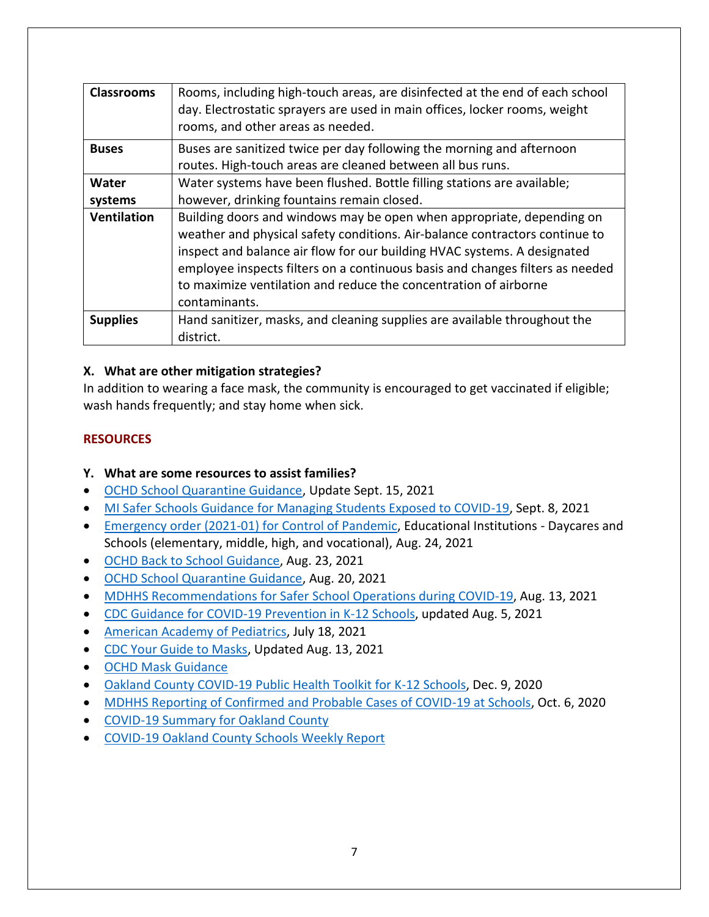| <b>Classrooms</b>  | Rooms, including high-touch areas, are disinfected at the end of each school<br>day. Electrostatic sprayers are used in main offices, locker rooms, weight<br>rooms, and other areas as needed.                                                                                                                                                                                                        |  |  |
|--------------------|--------------------------------------------------------------------------------------------------------------------------------------------------------------------------------------------------------------------------------------------------------------------------------------------------------------------------------------------------------------------------------------------------------|--|--|
| <b>Buses</b>       | Buses are sanitized twice per day following the morning and afternoon<br>routes. High-touch areas are cleaned between all bus runs.                                                                                                                                                                                                                                                                    |  |  |
| Water              | Water systems have been flushed. Bottle filling stations are available;                                                                                                                                                                                                                                                                                                                                |  |  |
| systems            | however, drinking fountains remain closed.                                                                                                                                                                                                                                                                                                                                                             |  |  |
| <b>Ventilation</b> | Building doors and windows may be open when appropriate, depending on<br>weather and physical safety conditions. Air-balance contractors continue to<br>inspect and balance air flow for our building HVAC systems. A designated<br>employee inspects filters on a continuous basis and changes filters as needed<br>to maximize ventilation and reduce the concentration of airborne<br>contaminants. |  |  |
| <b>Supplies</b>    | Hand sanitizer, masks, and cleaning supplies are available throughout the<br>district.                                                                                                                                                                                                                                                                                                                 |  |  |

## **X. What are other mitigation strategies?**

In addition to wearing a face mask, the community is encouraged to get vaccinated if eligible; wash hands frequently; and stay home when sick.

## **RESOURCES**

## **Y. What are some resources to assist families?**

- [OCHD School Quarantine Guidance,](https://www.oakgov.com/covid/resources/education/Documents/CV19%20Quarantine%20Recommendation%20Handout.pdf) Update Sept. 15, 2021
- [MI Safer Schools Guidance for Managing Students Exposed to COVID-19,](https://www.michigan.gov/documents/coronavirus/MI_Safer_Schools_Guidance_for_Managing_Students_Exposed_to_COVID-19_734750_7.pdf) Sept. 8, 2021
- [Emergency order \(2021-01\) for Control of Pandemic,](https://www.oakgov.com/covid/healthorders/Health%20Order%208.24.21%20face%20covering%202021-01.pdf) Educational Institutions Daycares and Schools (elementary, middle, high, and vocational), Aug. 24, 2021
- [OCHD Back to School Guidance,](https://www.oakgov.com/covid/resources/education/PublishingImages/Pages/k-12/Back%20to%20School%20Guidance.pdf) Aug. 23, 2021
- [OCHD School Quarantine Guidance,](https://www.oakgov.com/covid/resources/education/Documents/CV19%20Quarantine%20Recommendation%20Handout.pdf) Aug. 20, 2021
- [MDHHS Recommendations for Safer](https://www.michigan.gov/documents/coronavirus/COVID-19_Guidance_for_Operating_Schools_Safely_728838_7.pdf) School Operations during COVID-19, Aug. 13, 2021
- [CDC Guidance for COVID-19 Prevention in K-12 Schools,](https://www.cdc.gov/coronavirus/2019-ncov/community/schools-childcare/k-12-guidance.html) updated Aug. 5, 2021
- [American Academy of Pediatrics,](https://www.aap.org/en/pages/2019-novel-coronavirus-covid-19-infections/clinical-guidance/covid-19-planning-considerations-return-to-in-person-education-in-schools/) July 18, 2021
- [CDC Your Guide to Masks,](https://www.cdc.gov/coronavirus/2019-ncov/prevent-getting-sick/about-face-coverings.html) Updated Aug. 13, 2021
- [OCHD Mask Guidance](https://www.oakgov.com/covid/best-practices/prepare/Pages/face-covering.aspx)
- [Oakland County COVID-19 Public Health Toolkit for K-12 Schools,](https://www.oakgov.com/covid/resources/education/Documents/Education%20Toolkit.pdf) Dec. 9, 2020
- [MDHHS Reporting of Confirmed and Probable Cases of COVID-19 at Schools,](https://www.michigan.gov/coronavirus/0,9753,7-406-98178_98455-541860--,00.html) Oct. 6, 2020
- [COVID-19 Summary for Oakland County](https://www.oakgov.com/covid/dashboard.html)
- [COVID-19 Oakland County Schools Weekly Report](https://www.oakgov.com/covid/resources/education/Pages/data.aspx)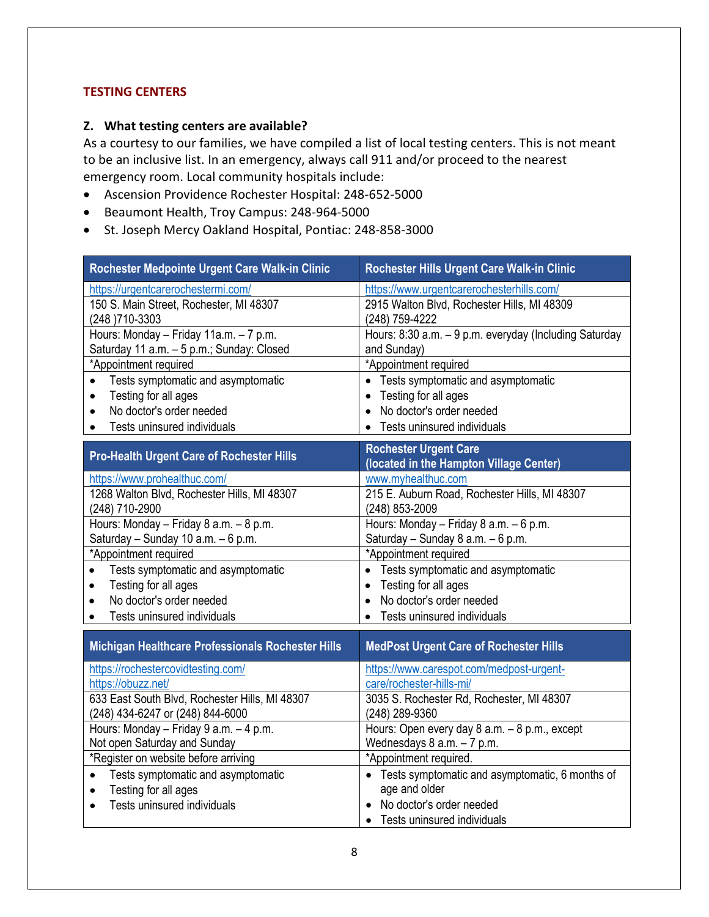### **TESTING CENTERS**

#### **Z. What testing centers are available?**

As a courtesy to our families, we have compiled a list of local testing centers. This is not meant to be an inclusive list. In an emergency, always call 911 and/or proceed to the nearest emergency room. Local community hospitals include:

- Ascension Providence Rochester Hospital: 248-652-5000
- Beaumont Health, Troy Campus: 248-964-5000
- St. Joseph Mercy Oakland Hospital, Pontiac: 248-858-3000

| Rochester Medpointe Urgent Care Walk-in Clinic    | Rochester Hills Urgent Care Walk-in Clinic             |  |
|---------------------------------------------------|--------------------------------------------------------|--|
| https://urgentcarerochestermi.com/                | https://www.urgentcarerochesterhills.com/              |  |
| 150 S. Main Street, Rochester, MI 48307           | 2915 Walton Blvd, Rochester Hills, MI 48309            |  |
| (248) 710-3303                                    | (248) 759-4222                                         |  |
| Hours: Monday - Friday 11a.m. - 7 p.m.            | Hours: 8:30 a.m. - 9 p.m. everyday (Including Saturday |  |
| Saturday 11 a.m. - 5 p.m.; Sunday: Closed         | and Sunday)                                            |  |
| *Appointment required                             | *Appointment required                                  |  |
| Tests symptomatic and asymptomatic<br>$\bullet$   | • Tests symptomatic and asymptomatic                   |  |
| Testing for all ages<br>$\bullet$                 | Testing for all ages                                   |  |
| No doctor's order needed<br>$\bullet$             | No doctor's order needed                               |  |
| Tests uninsured individuals                       | Tests uninsured individuals                            |  |
|                                                   | <b>Rochester Urgent Care</b>                           |  |
| <b>Pro-Health Urgent Care of Rochester Hills</b>  | (located in the Hampton Village Center)                |  |
| https://www.prohealthuc.com/                      | www.myhealthuc.com                                     |  |
| 1268 Walton Blvd, Rochester Hills, MI 48307       | 215 E. Auburn Road, Rochester Hills, MI 48307          |  |
| (248) 710-2900                                    | (248) 853-2009                                         |  |
| Hours: Monday - Friday 8 a.m. - 8 p.m.            | Hours: Monday - Friday 8 a.m. - 6 p.m.                 |  |
| Saturday - Sunday 10 a.m. - 6 p.m.                | Saturday - Sunday 8 a.m. - 6 p.m.                      |  |
| *Appointment required                             | *Appointment required                                  |  |
| Tests symptomatic and asymptomatic<br>$\bullet$   | Tests symptomatic and asymptomatic                     |  |
| Testing for all ages<br>$\bullet$                 | Testing for all ages                                   |  |
| No doctor's order needed<br>$\bullet$             | No doctor's order needed                               |  |
| Tests uninsured individuals                       | Tests uninsured individuals                            |  |
| Michigan Healthcare Professionals Rochester Hills | <b>MedPost Urgent Care of Rochester Hills</b>          |  |
|                                                   |                                                        |  |
| https://rochestercovidtesting.com/                | https://www.carespot.com/medpost-urgent-               |  |
| https://obuzz.net/                                | care/rochester-hills-mi/                               |  |
| 633 East South Blvd, Rochester Hills, MI 48307    | 3035 S. Rochester Rd, Rochester, MI 48307              |  |
| (248) 434-6247 or (248) 844-6000                  | (248) 289-9360                                         |  |
| Hours: Monday - Friday 9 a.m. - 4 p.m.            | Hours: Open every day 8 a.m. - 8 p.m., except          |  |
| Not open Saturday and Sunday                      | Wednesdays $8$ a.m. $-7$ p.m.                          |  |
| *Register on website before arriving              | *Appointment required.                                 |  |
| Tests symptomatic and asymptomatic<br>$\bullet$   | • Tests symptomatic and asymptomatic, 6 months of      |  |
| Testing for all ages<br>$\bullet$                 | age and older                                          |  |
| Tests uninsured individuals<br>$\bullet$          | • No doctor's order needed                             |  |
|                                                   | • Tests uninsured individuals                          |  |